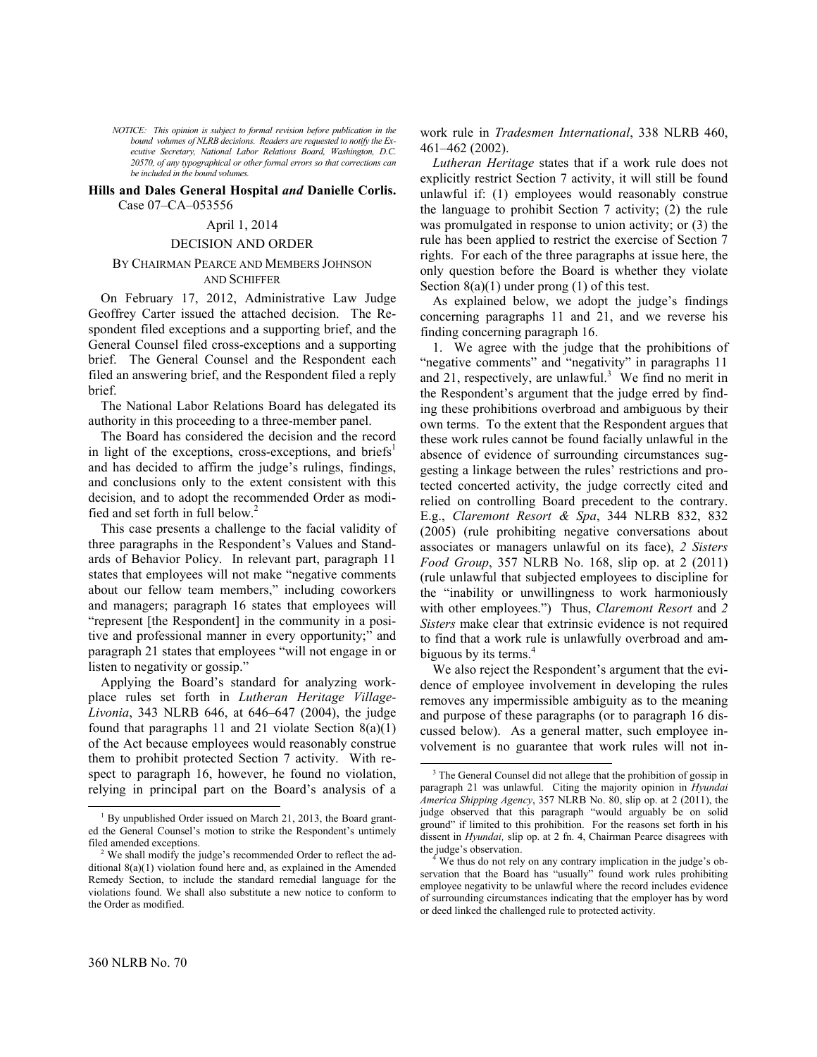*NOTICE: This opinion is subject to formal revision before publication in the bound volumes of NLRB decisions. Readers are requested to notify the Executive Secretary, National Labor Relations Board, Washington, D.C. 20570, of any typographical or other formal errors so that corrections can be included in the bound volumes.*

# **Hills and Dales General Hospital** *and* **Danielle Corlis.**  Case 07–CA–053556

### April 1, 2014

### DECISION AND ORDER

# BY CHAIRMAN PEARCE AND MEMBERS JOHNSON AND SCHIFFER

On February 17, 2012, Administrative Law Judge Geoffrey Carter issued the attached decision. The Respondent filed exceptions and a supporting brief, and the General Counsel filed cross-exceptions and a supporting brief. The General Counsel and the Respondent each filed an answering brief, and the Respondent filed a reply brief.

The National Labor Relations Board has delegated its authority in this proceeding to a three-member panel.

The Board has considered the decision and the record in light of the exceptions, cross-exceptions, and briefs<sup>[1](#page-0-0)</sup> and has decided to affirm the judge's rulings, findings, and conclusions only to the extent consistent with this decision, and to adopt the recommended Order as modified and set forth in full below.[2](#page-0-1)

This case presents a challenge to the facial validity of three paragraphs in the Respondent's Values and Standards of Behavior Policy. In relevant part, paragraph 11 states that employees will not make "negative comments about our fellow team members," including coworkers and managers; paragraph 16 states that employees will "represent [the Respondent] in the community in a positive and professional manner in every opportunity;" and paragraph 21 states that employees "will not engage in or listen to negativity or gossip."

Applying the Board's standard for analyzing workplace rules set forth in *Lutheran Heritage Village-Livonia*, 343 NLRB 646, at 646–647 (2004), the judge found that paragraphs 11 and 21 violate Section  $8(a)(1)$ of the Act because employees would reasonably construe them to prohibit protected Section 7 activity. With respect to paragraph 16, however, he found no violation, relying in principal part on the Board's analysis of a work rule in *Tradesmen International*, 338 NLRB 460, 461–462 (2002).

*Lutheran Heritage* states that if a work rule does not explicitly restrict Section 7 activity, it will still be found unlawful if: (1) employees would reasonably construe the language to prohibit Section 7 activity; (2) the rule was promulgated in response to union activity; or (3) the rule has been applied to restrict the exercise of Section 7 rights. For each of the three paragraphs at issue here, the only question before the Board is whether they violate Section  $8(a)(1)$  under prong  $(1)$  of this test.

As explained below, we adopt the judge's findings concerning paragraphs 11 and 21, and we reverse his finding concerning paragraph 16.

1. We agree with the judge that the prohibitions of "negative comments" and "negativity" in paragraphs 11 and 21, respectively, are unlawful.<sup>[3](#page-0-2)</sup> We find no merit in the Respondent's argument that the judge erred by finding these prohibitions overbroad and ambiguous by their own terms. To the extent that the Respondent argues that these work rules cannot be found facially unlawful in the absence of evidence of surrounding circumstances suggesting a linkage between the rules' restrictions and protected concerted activity, the judge correctly cited and relied on controlling Board precedent to the contrary. E.g., *Claremont Resort & Spa*, 344 NLRB 832, 832 (2005) (rule prohibiting negative conversations about associates or managers unlawful on its face), *2 Sisters Food Group*, 357 NLRB No. 168, slip op. at 2 (2011) (rule unlawful that subjected employees to discipline for the "inability or unwillingness to work harmoniously with other employees.") Thus, *Claremont Resort* and *2 Sisters* make clear that extrinsic evidence is not required to find that a work rule is unlawfully overbroad and am-biguous by its terms.<sup>[4](#page-0-3)</sup>

We also reject the Respondent's argument that the evidence of employee involvement in developing the rules removes any impermissible ambiguity as to the meaning and purpose of these paragraphs (or to paragraph 16 discussed below). As a general matter, such employee involvement is no guarantee that work rules will not in-

 $\overline{a}$ 

<span id="page-0-2"></span>-

<span id="page-0-0"></span> $1$  By unpublished Order issued on March 21, 2013, the Board granted the General Counsel's motion to strike the Respondent's untimely filed amended exceptions.

<span id="page-0-3"></span><span id="page-0-1"></span>We shall modify the judge's recommended Order to reflect the additional 8(a)(1) violation found here and, as explained in the Amended Remedy Section, to include the standard remedial language for the violations found. We shall also substitute a new notice to conform to the Order as modified.

<sup>&</sup>lt;sup>3</sup> The General Counsel did not allege that the prohibition of gossip in paragraph 21 was unlawful. Citing the majority opinion in *Hyundai America Shipping Agency*, 357 NLRB No. 80, slip op. at 2 (2011), the judge observed that this paragraph "would arguably be on solid ground" if limited to this prohibition. For the reasons set forth in his dissent in *Hyundai,* slip op. at 2 fn. 4, Chairman Pearce disagrees with the judge's observation.

We thus do not rely on any contrary implication in the judge's observation that the Board has "usually" found work rules prohibiting employee negativity to be unlawful where the record includes evidence of surrounding circumstances indicating that the employer has by word or deed linked the challenged rule to protected activity.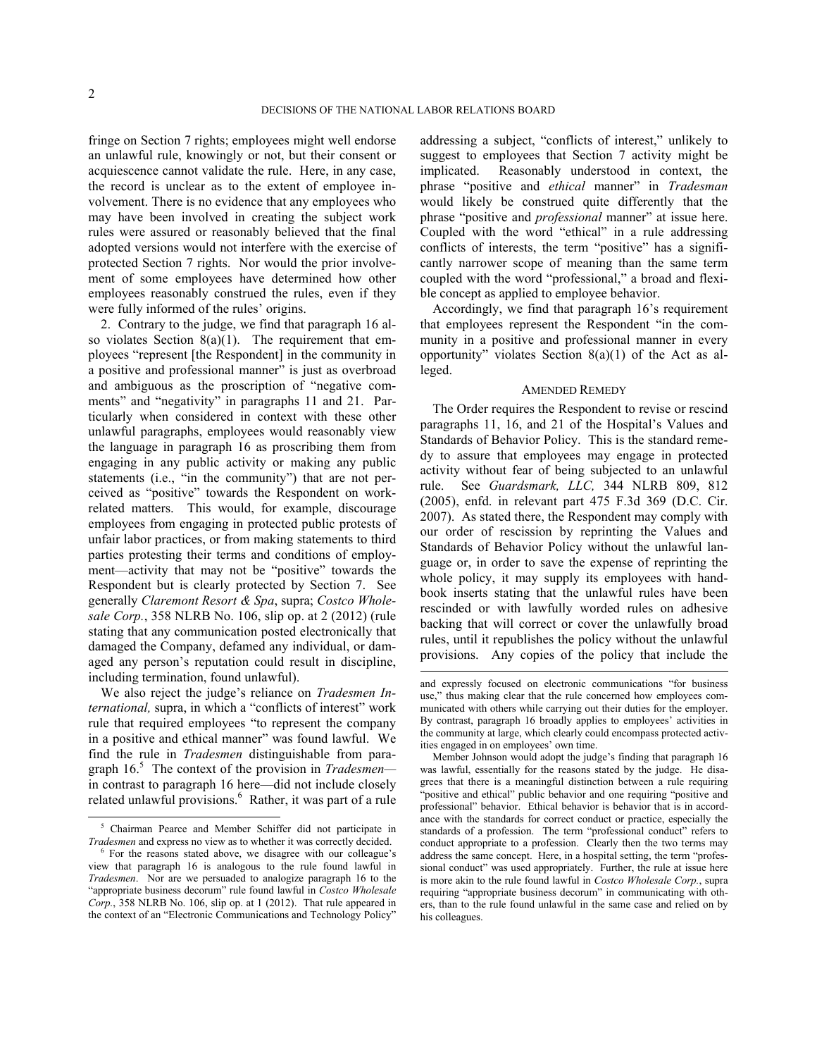-

 $\overline{a}$ 

fringe on Section 7 rights; employees might well endorse an unlawful rule, knowingly or not, but their consent or acquiescence cannot validate the rule. Here, in any case, the record is unclear as to the extent of employee involvement. There is no evidence that any employees who may have been involved in creating the subject work rules were assured or reasonably believed that the final adopted versions would not interfere with the exercise of protected Section 7 rights. Nor would the prior involvement of some employees have determined how other employees reasonably construed the rules, even if they were fully informed of the rules' origins.

2. Contrary to the judge, we find that paragraph 16 also violates Section  $8(a)(1)$ . The requirement that employees "represent [the Respondent] in the community in a positive and professional manner" is just as overbroad and ambiguous as the proscription of "negative comments" and "negativity" in paragraphs 11 and 21. Particularly when considered in context with these other unlawful paragraphs, employees would reasonably view the language in paragraph 16 as proscribing them from engaging in any public activity or making any public statements (i.e., "in the community") that are not perceived as "positive" towards the Respondent on workrelated matters. This would, for example, discourage employees from engaging in protected public protests of unfair labor practices, or from making statements to third parties protesting their terms and conditions of employment—activity that may not be "positive" towards the Respondent but is clearly protected by Section 7. See generally *Claremont Resort & Spa*, supra; *Costco Wholesale Corp.*, 358 NLRB No. 106, slip op. at 2 (2012) (rule stating that any communication posted electronically that damaged the Company, defamed any individual, or damaged any person's reputation could result in discipline, including termination, found unlawful).

We also reject the judge's reliance on *Tradesmen International,* supra, in which a "conflicts of interest" work rule that required employees "to represent the company in a positive and ethical manner" was found lawful. We find the rule in *Tradesmen* distinguishable from paragraph 16. [5](#page-1-0) The context of the provision in *Tradesmen* in contrast to paragraph 16 here—did not include closely related unlawful provisions.<sup>[6](#page-1-1)</sup> Rather, it was part of a rule

addressing a subject, "conflicts of interest," unlikely to suggest to employees that Section 7 activity might be implicated. Reasonably understood in context, the phrase "positive and *ethical* manner" in *Tradesman* would likely be construed quite differently that the phrase "positive and *professional* manner" at issue here. Coupled with the word "ethical" in a rule addressing conflicts of interests, the term "positive" has a significantly narrower scope of meaning than the same term coupled with the word "professional," a broad and flexible concept as applied to employee behavior.

Accordingly, we find that paragraph 16's requirement that employees represent the Respondent "in the community in a positive and professional manner in every opportunity" violates Section 8(a)(1) of the Act as alleged.

## AMENDED REMEDY

The Order requires the Respondent to revise or rescind paragraphs 11, 16, and 21 of the Hospital's Values and Standards of Behavior Policy. This is the standard remedy to assure that employees may engage in protected activity without fear of being subjected to an unlawful rule. See *Guardsmark, LLC,* 344 NLRB 809, 812 (2005), enfd. in relevant part 475 F.3d 369 (D.C. Cir. 2007). As stated there, the Respondent may comply with our order of rescission by reprinting the Values and Standards of Behavior Policy without the unlawful language or, in order to save the expense of reprinting the whole policy, it may supply its employees with handbook inserts stating that the unlawful rules have been rescinded or with lawfully worded rules on adhesive backing that will correct or cover the unlawfully broad rules, until it republishes the policy without the unlawful provisions. Any copies of the policy that include the

<span id="page-1-0"></span><sup>5</sup> Chairman Pearce and Member Schiffer did not participate in *Tradesmen* and express no view as to whether it was correctly decided.

<span id="page-1-1"></span><sup>6</sup> For the reasons stated above, we disagree with our colleague's view that paragraph 16 is analogous to the rule found lawful in *Tradesmen*. Nor are we persuaded to analogize paragraph 16 to the "appropriate business decorum" rule found lawful in *Costco Wholesale Corp.*, 358 NLRB No. 106, slip op. at 1 (2012). That rule appeared in the context of an "Electronic Communications and Technology Policy"

and expressly focused on electronic communications "for business use," thus making clear that the rule concerned how employees communicated with others while carrying out their duties for the employer. By contrast, paragraph 16 broadly applies to employees' activities in the community at large, which clearly could encompass protected activities engaged in on employees' own time.

Member Johnson would adopt the judge's finding that paragraph 16 was lawful, essentially for the reasons stated by the judge. He disagrees that there is a meaningful distinction between a rule requiring "positive and ethical" public behavior and one requiring "positive and professional" behavior. Ethical behavior is behavior that is in accordance with the standards for correct conduct or practice, especially the standards of a profession. The term "professional conduct" refers to conduct appropriate to a profession. Clearly then the two terms may address the same concept. Here, in a hospital setting, the term "professional conduct" was used appropriately. Further, the rule at issue here is more akin to the rule found lawful in *Costco Wholesale Corp.*, supra requiring "appropriate business decorum" in communicating with others, than to the rule found unlawful in the same case and relied on by his colleagues.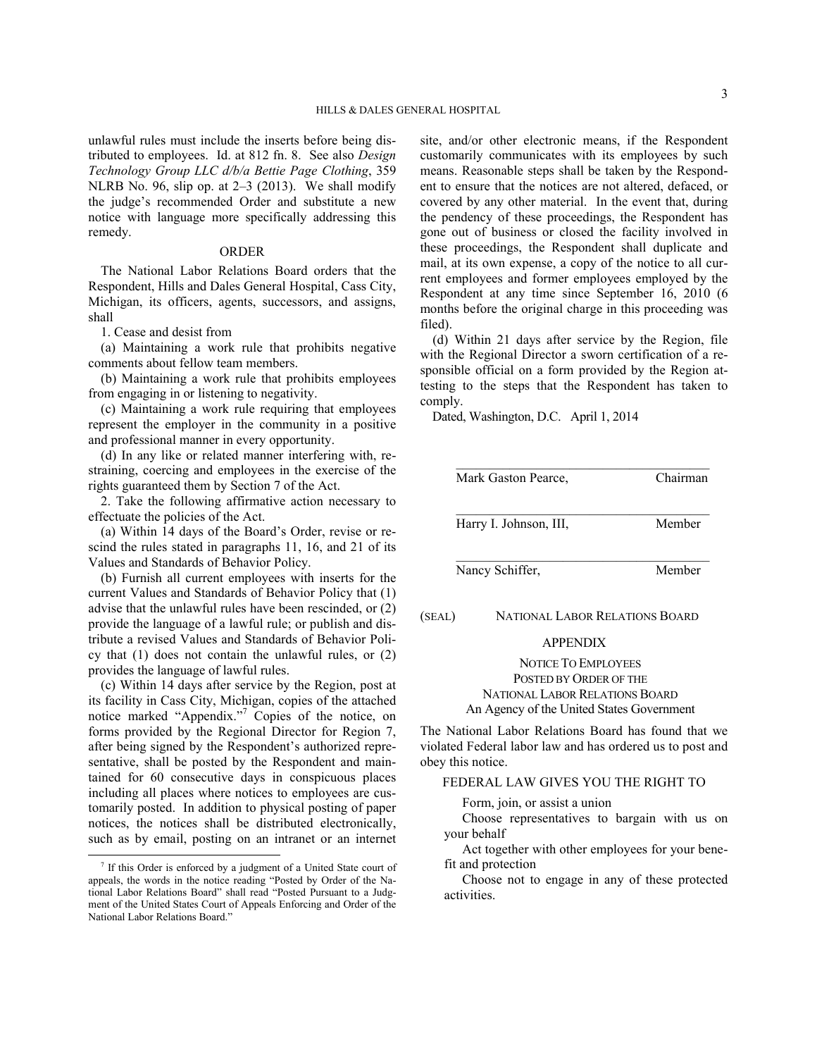unlawful rules must include the inserts before being distributed to employees. Id. at 812 fn. 8. See also *Design Technology Group LLC d/b/a Bettie Page Clothing*, 359 NLRB No. 96, slip op. at 2–3 (2013). We shall modify the judge's recommended Order and substitute a new notice with language more specifically addressing this remedy.

# ORDER

The National Labor Relations Board orders that the Respondent, Hills and Dales General Hospital, Cass City, Michigan, its officers, agents, successors, and assigns, shall

1. Cease and desist from

(a) Maintaining a work rule that prohibits negative comments about fellow team members.

(b) Maintaining a work rule that prohibits employees from engaging in or listening to negativity.

(c) Maintaining a work rule requiring that employees represent the employer in the community in a positive and professional manner in every opportunity.

(d) In any like or related manner interfering with, restraining, coercing and employees in the exercise of the rights guaranteed them by Section 7 of the Act.

2. Take the following affirmative action necessary to effectuate the policies of the Act.

(a) Within 14 days of the Board's Order, revise or rescind the rules stated in paragraphs 11, 16, and 21 of its Values and Standards of Behavior Policy.

(b) Furnish all current employees with inserts for the current Values and Standards of Behavior Policy that (1) advise that the unlawful rules have been rescinded, or (2) provide the language of a lawful rule; or publish and distribute a revised Values and Standards of Behavior Policy that (1) does not contain the unlawful rules, or (2) provides the language of lawful rules.

(c) Within 14 days after service by the Region, post at its facility in Cass City, Michigan, copies of the attached notice marked "Appendix."[7](#page-2-0) Copies of the notice, on forms provided by the Regional Director for Region 7, after being signed by the Respondent's authorized representative, shall be posted by the Respondent and maintained for 60 consecutive days in conspicuous places including all places where notices to employees are customarily posted. In addition to physical posting of paper notices, the notices shall be distributed electronically, such as by email, posting on an intranet or an internet

-

site, and/or other electronic means, if the Respondent customarily communicates with its employees by such means. Reasonable steps shall be taken by the Respondent to ensure that the notices are not altered, defaced, or covered by any other material. In the event that, during the pendency of these proceedings, the Respondent has gone out of business or closed the facility involved in these proceedings, the Respondent shall duplicate and mail, at its own expense, a copy of the notice to all current employees and former employees employed by the Respondent at any time since September 16, 2010 (6 months before the original charge in this proceeding was filed).

(d) Within 21 days after service by the Region, file with the Regional Director a sworn certification of a responsible official on a form provided by the Region attesting to the steps that the Respondent has taken to comply.

Dated, Washington, D.C. April 1, 2014

| Mark Gaston Pearce.    | Chairman |
|------------------------|----------|
| Harry I. Johnson, III, | Member   |
| Nancy Schiffer,        | Member   |

# (SEAL) NATIONAL LABOR RELATIONS BOARD

### APPENDIX

NOTICE TO EMPLOYEES POSTED BY ORDER OF THE NATIONAL LABOR RELATIONS BOARD An Agency of the United States Government

The National Labor Relations Board has found that we violated Federal labor law and has ordered us to post and obey this notice.

# FEDERAL LAW GIVES YOU THE RIGHT TO

Form, join, or assist a union

Choose representatives to bargain with us on your behalf

Act together with other employees for your benefit and protection

Choose not to engage in any of these protected activities.

<span id="page-2-0"></span><sup>&</sup>lt;sup>7</sup> If this Order is enforced by a judgment of a United State court of appeals, the words in the notice reading "Posted by Order of the National Labor Relations Board" shall read "Posted Pursuant to a Judgment of the United States Court of Appeals Enforcing and Order of the National Labor Relations Board."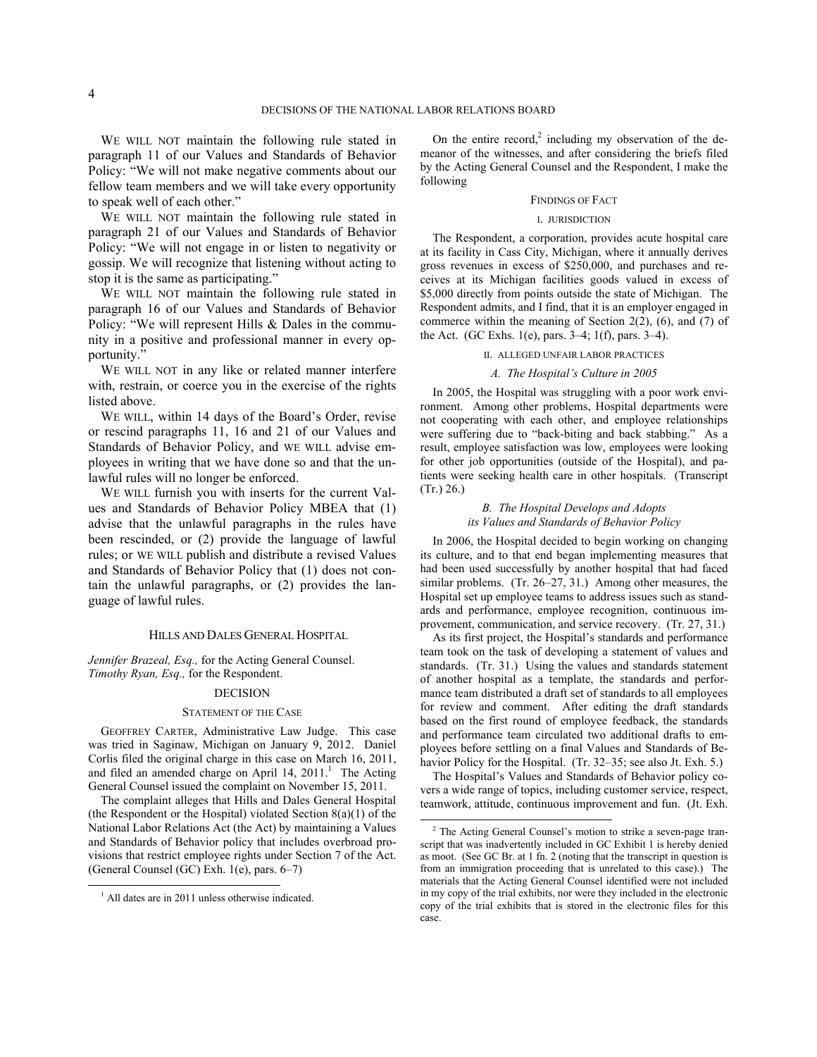$\overline{a}$ 

WE WILL NOT maintain the following rule stated in paragraph 11 of our Values and Standards of Behavior Policy: "We will not make negative comments about our fellow team members and we will take every opportunity to speak well of each other."

WE WILL NOT maintain the following rule stated in paragraph 21 of our Values and Standards of Behavior Policy: "We will not engage in or listen to negativity or gossip. We will recognize that listening without acting to stop it is the same as participating."

WE WILL NOT maintain the following rule stated in paragraph 16 of our Values and Standards of Behavior Policy: "We will represent Hills & Dales in the community in a positive and professional manner in every opportunity."

WE WILL NOT in any like or related manner interfere with, restrain, or coerce you in the exercise of the rights listed above.

WE WILL, within 14 days of the Board's Order, revise or rescind paragraphs 11, 16 and 21 of our Values and Standards of Behavior Policy, and WE WILL advise employees in writing that we have done so and that the unlawful rules will no longer be enforced.

WE WILL furnish you with inserts for the current Values and Standards of Behavior Policy MBEA that (1) advise that the unlawful paragraphs in the rules have been rescinded, or (2) provide the language of lawful rules; or WE WILL publish and distribute a revised Values and Standards of Behavior Policy that (1) does not contain the unlawful paragraphs, or (2) provides the language of lawful rules.

### HILLS AND DALES GENERAL HOSPITAL

*Jennifer Brazeal, Esq.,* for the Acting General Counsel. *Timothy Ryan, Esq.,* for the Respondent.

### DECISION

## STATEMENT OF THE CASE

GEOFFREY CARTER, Administrative Law Judge. This case was tried in Saginaw, Michigan on January 9, 2012. Daniel Corlis filed the original charge in this case on March 16, 2011, and filed an amended charge on April  $14$  $14$ ,  $2011$ .<sup>1</sup> The Acting General Counsel issued the complaint on November 15, 2011.

<span id="page-3-1"></span>The complaint alleges that Hills and Dales General Hospital (the Respondent or the Hospital) violated Section  $8(a)(1)$  of the National Labor Relations Act (the Act) by maintaining a Values and Standards of Behavior policy that includes overbroad provisions that restrict employee rights under Section 7 of the Act. (General Counsel (GC) Exh. 1(e), pars. 6–7)

<span id="page-3-0"></span>-

On the entire record,<sup>[2](#page-3-1)</sup> including my observation of the demeanor of the witnesses, and after considering the briefs filed by the Acting General Counsel and the Respondent, I make the following

### FINDINGS OF FACT

## I. JURISDICTION

The Respondent, a corporation, provides acute hospital care at its facility in Cass City, Michigan, where it annually derives gross revenues in excess of \$250,000, and purchases and receives at its Michigan facilities goods valued in excess of \$5,000 directly from points outside the state of Michigan. The Respondent admits, and I find, that it is an employer engaged in commerce within the meaning of Section 2(2), (6), and (7) of the Act. (GC Exhs. 1(e), pars. 3–4; 1(f), pars. 3–4).

## II. ALLEGED UNFAIR LABOR PRACTICES

### *A. The Hospital's Culture in 2005*

In 2005, the Hospital was struggling with a poor work environment. Among other problems, Hospital departments were not cooperating with each other, and employee relationships were suffering due to "back-biting and back stabbing." As a result, employee satisfaction was low, employees were looking for other job opportunities (outside of the Hospital), and patients were seeking health care in other hospitals. (Transcript (Tr.) 26.)

## *B. The Hospital Develops and Adopts its Values and Standards of Behavior Policy*

In 2006, the Hospital decided to begin working on changing its culture, and to that end began implementing measures that had been used successfully by another hospital that had faced similar problems. (Tr. 26–27, 31.) Among other measures, the Hospital set up employee teams to address issues such as standards and performance, employee recognition, continuous improvement, communication, and service recovery. (Tr. 27, 31.)

As its first project, the Hospital's standards and performance team took on the task of developing a statement of values and standards. (Tr. 31.) Using the values and standards statement of another hospital as a template, the standards and performance team distributed a draft set of standards to all employees for review and comment. After editing the draft standards based on the first round of employee feedback, the standards and performance team circulated two additional drafts to employees before settling on a final Values and Standards of Behavior Policy for the Hospital. (Tr. 32-35; see also Jt. Exh. 5.)

The Hospital's Values and Standards of Behavior policy covers a wide range of topics, including customer service, respect, teamwork, attitude, continuous improvement and fun. (Jt. Exh.

<sup>&</sup>lt;sup>1</sup> All dates are in 2011 unless otherwise indicated.

<sup>2</sup> The Acting General Counsel's motion to strike a seven-page transcript that was inadvertently included in GC Exhibit 1 is hereby denied as moot. (See GC Br. at 1 fn. 2 (noting that the transcript in question is from an immigration proceeding that is unrelated to this case).) The materials that the Acting General Counsel identified were not included in my copy of the trial exhibits, nor were they included in the electronic copy of the trial exhibits that is stored in the electronic files for this case.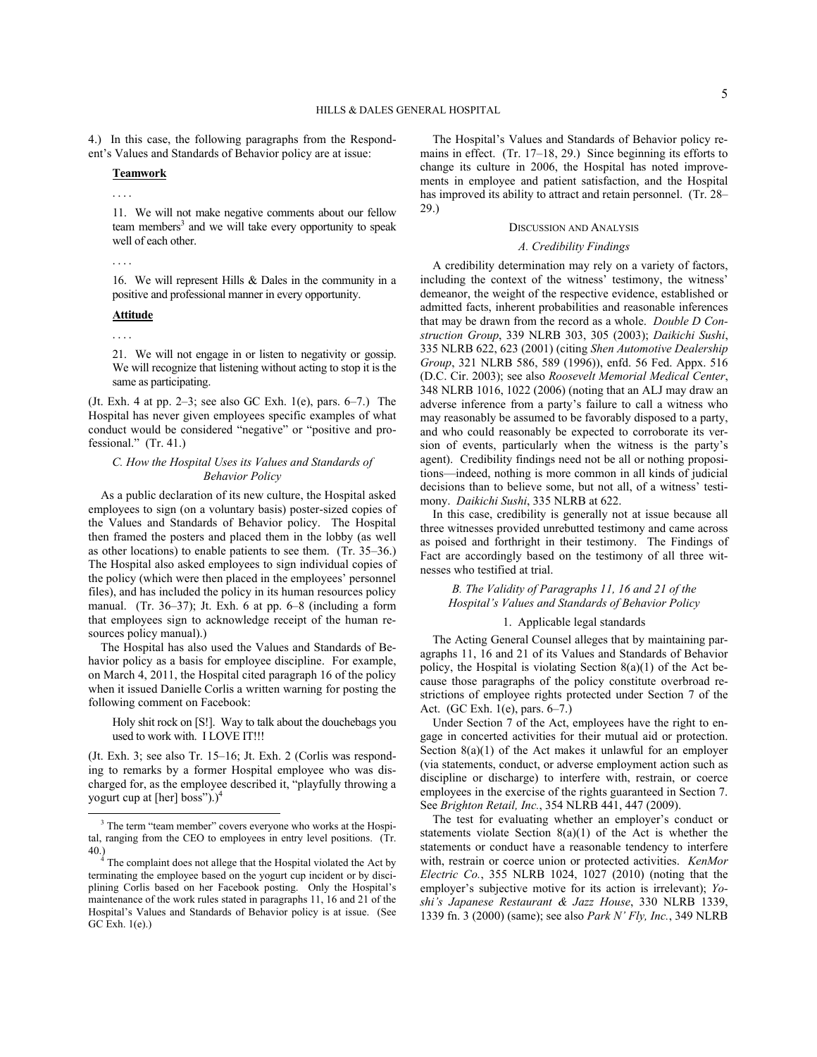4.) In this case, the following paragraphs from the Respondent's Values and Standards of Behavior policy are at issue:

### **Teamwork**

. . . .

11. We will not make negative comments about our fellow team members<sup>[3](#page-4-0)</sup> and we will take every opportunity to speak well of each other.

. . . .

16. We will represent Hills & Dales in the community in a positive and professional manner in every opportunity.

# **Attitude**

. . . .

 $\overline{a}$ 

21. We will not engage in or listen to negativity or gossip. We will recognize that listening without acting to stop it is the same as participating.

(Jt. Exh. 4 at pp.  $2-3$ ; see also GC Exh. 1(e), pars.  $6-7$ .) The Hospital has never given employees specific examples of what conduct would be considered "negative" or "positive and professional." (Tr. 41.)

## *C. How the Hospital Uses its Values and Standards of Behavior Policy*

As a public declaration of its new culture, the Hospital asked employees to sign (on a voluntary basis) poster-sized copies of the Values and Standards of Behavior policy. The Hospital then framed the posters and placed them in the lobby (as well as other locations) to enable patients to see them. (Tr. 35–36.) The Hospital also asked employees to sign individual copies of the policy (which were then placed in the employees' personnel files), and has included the policy in its human resources policy manual. (Tr. 36–37); Jt. Exh. 6 at pp. 6–8 (including a form that employees sign to acknowledge receipt of the human resources policy manual).)

The Hospital has also used the Values and Standards of Behavior policy as a basis for employee discipline. For example, on March 4, 2011, the Hospital cited paragraph 16 of the policy when it issued Danielle Corlis a written warning for posting the following comment on Facebook:

Holy shit rock on [S!]. Way to talk about the douchebags you used to work with. I LOVE IT!!!

(Jt. Exh. 3; see also Tr. 15–16; Jt. Exh. 2 (Corlis was responding to remarks by a former Hospital employee who was discharged for, as the employee described it, "playfully throwing a yogurt cup at [her] boss").)<sup>[4](#page-4-1)</sup>

The Hospital's Values and Standards of Behavior policy remains in effect. (Tr. 17–18, 29.) Since beginning its efforts to change its culture in 2006, the Hospital has noted improvements in employee and patient satisfaction, and the Hospital has improved its ability to attract and retain personnel. (Tr. 28– 29.)

### DISCUSSION AND ANALYSIS

# *A. Credibility Findings*

A credibility determination may rely on a variety of factors, including the context of the witness' testimony, the witness' demeanor, the weight of the respective evidence, established or admitted facts, inherent probabilities and reasonable inferences that may be drawn from the record as a whole. *Double D Construction Group*, 339 NLRB 303, 305 (2003); *Daikichi Sushi*, 335 NLRB 622, 623 (2001) (citing *Shen Automotive Dealership Group*, 321 NLRB 586, 589 (1996)), enfd. 56 Fed. Appx. 516 (D.C. Cir. 2003); see also *Roosevelt Memorial Medical Center*, 348 NLRB 1016, 1022 (2006) (noting that an ALJ may draw an adverse inference from a party's failure to call a witness who may reasonably be assumed to be favorably disposed to a party, and who could reasonably be expected to corroborate its version of events, particularly when the witness is the party's agent). Credibility findings need not be all or nothing propositions—indeed, nothing is more common in all kinds of judicial decisions than to believe some, but not all, of a witness' testimony. *Daikichi Sushi*, 335 NLRB at 622.

In this case, credibility is generally not at issue because all three witnesses provided unrebutted testimony and came across as poised and forthright in their testimony. The Findings of Fact are accordingly based on the testimony of all three witnesses who testified at trial.

# *B. The Validity of Paragraphs 11, 16 and 21 of the Hospital's Values and Standards of Behavior Policy*

## 1. Applicable legal standards

The Acting General Counsel alleges that by maintaining paragraphs 11, 16 and 21 of its Values and Standards of Behavior policy, the Hospital is violating Section  $8(a)(1)$  of the Act because those paragraphs of the policy constitute overbroad restrictions of employee rights protected under Section 7 of the Act. (GC Exh. 1(e), pars. 6–7.)

Under Section 7 of the Act, employees have the right to engage in concerted activities for their mutual aid or protection. Section  $8(a)(1)$  of the Act makes it unlawful for an employer (via statements, conduct, or adverse employment action such as discipline or discharge) to interfere with, restrain, or coerce employees in the exercise of the rights guaranteed in Section 7. See *Brighton Retail, Inc.*, 354 NLRB 441, 447 (2009).

The test for evaluating whether an employer's conduct or statements violate Section  $8(a)(1)$  of the Act is whether the statements or conduct have a reasonable tendency to interfere with, restrain or coerce union or protected activities. *KenMor Electric Co.*, 355 NLRB 1024, 1027 (2010) (noting that the employer's subjective motive for its action is irrelevant); *Yoshi's Japanese Restaurant & Jazz House*, 330 NLRB 1339, 1339 fn. 3 (2000) (same); see also *Park N' Fly, Inc.*, 349 NLRB

<span id="page-4-0"></span><sup>&</sup>lt;sup>3</sup> The term "team member" covers everyone who works at the Hospital, ranging from the CEO to employees in entry level positions. (Tr. 40.)

<span id="page-4-1"></span> $4<sup>4</sup>$  The complaint does not allege that the Hospital violated the Act by terminating the employee based on the yogurt cup incident or by disciplining Corlis based on her Facebook posting. Only the Hospital's maintenance of the work rules stated in paragraphs 11, 16 and 21 of the Hospital's Values and Standards of Behavior policy is at issue. (See GC Exh. 1(e).)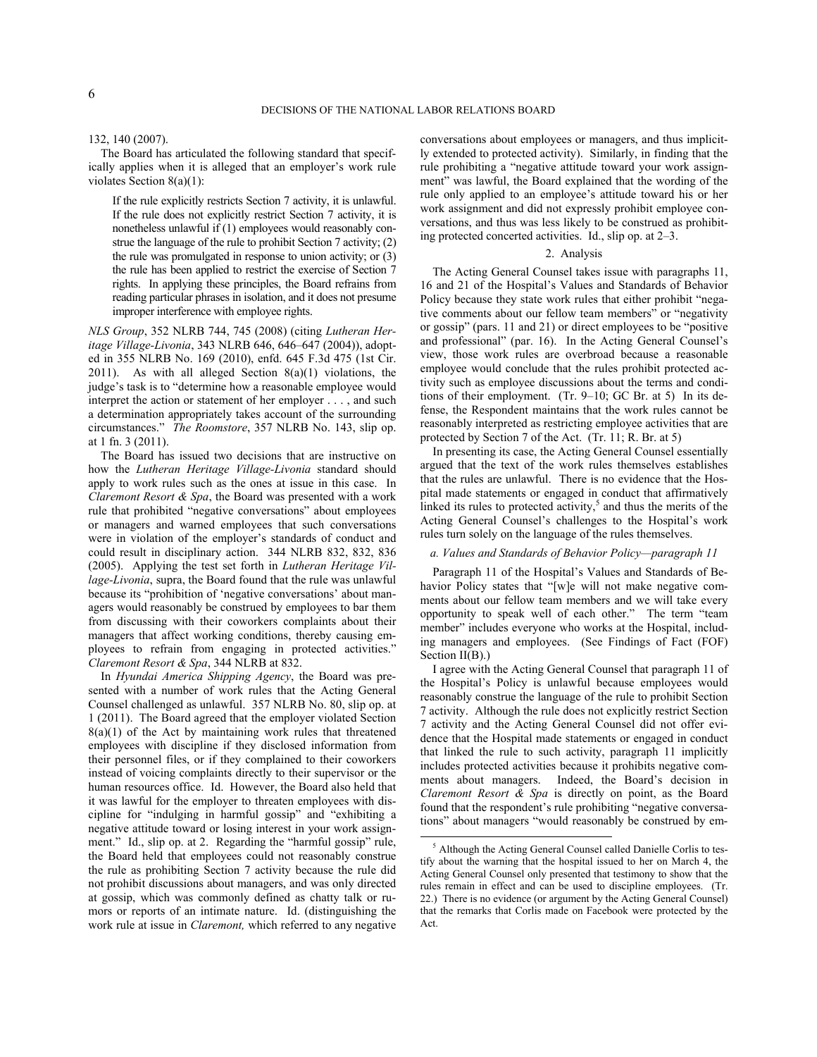$\overline{a}$ 

132, 140 (2007).

The Board has articulated the following standard that specifically applies when it is alleged that an employer's work rule violates Section 8(a)(1):

If the rule explicitly restricts Section 7 activity, it is unlawful. If the rule does not explicitly restrict Section 7 activity, it is nonetheless unlawful if (1) employees would reasonably construe the language of the rule to prohibit Section 7 activity; (2) the rule was promulgated in response to union activity; or (3) the rule has been applied to restrict the exercise of Section 7 rights. In applying these principles, the Board refrains from reading particular phrases in isolation, and it does not presume improper interference with employee rights.

*NLS Group*, 352 NLRB 744, 745 (2008) (citing *Lutheran Heritage Village-Livonia*, 343 NLRB 646, 646–647 (2004)), adopted in 355 NLRB No. 169 (2010), enfd. 645 F.3d 475 (1st Cir. 2011). As with all alleged Section  $8(a)(1)$  violations, the judge's task is to "determine how a reasonable employee would interpret the action or statement of her employer . . . , and such a determination appropriately takes account of the surrounding circumstances." *The Roomstore*, 357 NLRB No. 143, slip op. at 1 fn. 3 (2011).

The Board has issued two decisions that are instructive on how the *Lutheran Heritage Village-Livonia* standard should apply to work rules such as the ones at issue in this case. In *Claremont Resort & Spa*, the Board was presented with a work rule that prohibited "negative conversations" about employees or managers and warned employees that such conversations were in violation of the employer's standards of conduct and could result in disciplinary action. 344 NLRB 832, 832, 836 (2005). Applying the test set forth in *Lutheran Heritage Village-Livonia*, supra, the Board found that the rule was unlawful because its "prohibition of 'negative conversations' about managers would reasonably be construed by employees to bar them from discussing with their coworkers complaints about their managers that affect working conditions, thereby causing employees to refrain from engaging in protected activities." *Claremont Resort & Spa*, 344 NLRB at 832.

<span id="page-5-0"></span>In *Hyundai America Shipping Agency*, the Board was presented with a number of work rules that the Acting General Counsel challenged as unlawful. 357 NLRB No. 80, slip op. at 1 (2011). The Board agreed that the employer violated Section  $8(a)(1)$  of the Act by maintaining work rules that threatened employees with discipline if they disclosed information from their personnel files, or if they complained to their coworkers instead of voicing complaints directly to their supervisor or the human resources office. Id. However, the Board also held that it was lawful for the employer to threaten employees with discipline for "indulging in harmful gossip" and "exhibiting a negative attitude toward or losing interest in your work assignment." Id., slip op. at 2. Regarding the "harmful gossip" rule, the Board held that employees could not reasonably construe the rule as prohibiting Section 7 activity because the rule did not prohibit discussions about managers, and was only directed at gossip, which was commonly defined as chatty talk or rumors or reports of an intimate nature. Id. (distinguishing the work rule at issue in *Claremont,* which referred to any negative

conversations about employees or managers, and thus implicitly extended to protected activity). Similarly, in finding that the rule prohibiting a "negative attitude toward your work assignment" was lawful, the Board explained that the wording of the rule only applied to an employee's attitude toward his or her work assignment and did not expressly prohibit employee conversations, and thus was less likely to be construed as prohibiting protected concerted activities. Id., slip op. at 2–3.

## 2. Analysis

The Acting General Counsel takes issue with paragraphs 11, 16 and 21 of the Hospital's Values and Standards of Behavior Policy because they state work rules that either prohibit "negative comments about our fellow team members" or "negativity or gossip" (pars. 11 and 21) or direct employees to be "positive and professional" (par. 16). In the Acting General Counsel's view, those work rules are overbroad because a reasonable employee would conclude that the rules prohibit protected activity such as employee discussions about the terms and conditions of their employment. (Tr. 9–10; GC Br. at 5) In its defense, the Respondent maintains that the work rules cannot be reasonably interpreted as restricting employee activities that are protected by Section 7 of the Act. (Tr. 11; R. Br. at 5)

In presenting its case, the Acting General Counsel essentially argued that the text of the work rules themselves establishes that the rules are unlawful. There is no evidence that the Hospital made statements or engaged in conduct that affirmatively linked its rules to protected activity,<sup>[5](#page-5-0)</sup> and thus the merits of the Acting General Counsel's challenges to the Hospital's work rules turn solely on the language of the rules themselves.

## *a. Values and Standards of Behavior Policy—paragraph 11*

Paragraph 11 of the Hospital's Values and Standards of Behavior Policy states that "[w]e will not make negative comments about our fellow team members and we will take every opportunity to speak well of each other." The term "team member" includes everyone who works at the Hospital, including managers and employees. (See Findings of Fact (FOF) Section  $II(B)$ .)

I agree with the Acting General Counsel that paragraph 11 of the Hospital's Policy is unlawful because employees would reasonably construe the language of the rule to prohibit Section 7 activity. Although the rule does not explicitly restrict Section 7 activity and the Acting General Counsel did not offer evidence that the Hospital made statements or engaged in conduct that linked the rule to such activity, paragraph 11 implicitly includes protected activities because it prohibits negative comments about managers. Indeed, the Board's decision in *Claremont Resort & Spa* is directly on point, as the Board found that the respondent's rule prohibiting "negative conversations" about managers "would reasonably be construed by em-

<sup>5</sup> Although the Acting General Counsel called Danielle Corlis to testify about the warning that the hospital issued to her on March 4, the Acting General Counsel only presented that testimony to show that the rules remain in effect and can be used to discipline employees. (Tr. 22.) There is no evidence (or argument by the Acting General Counsel) that the remarks that Corlis made on Facebook were protected by the Act.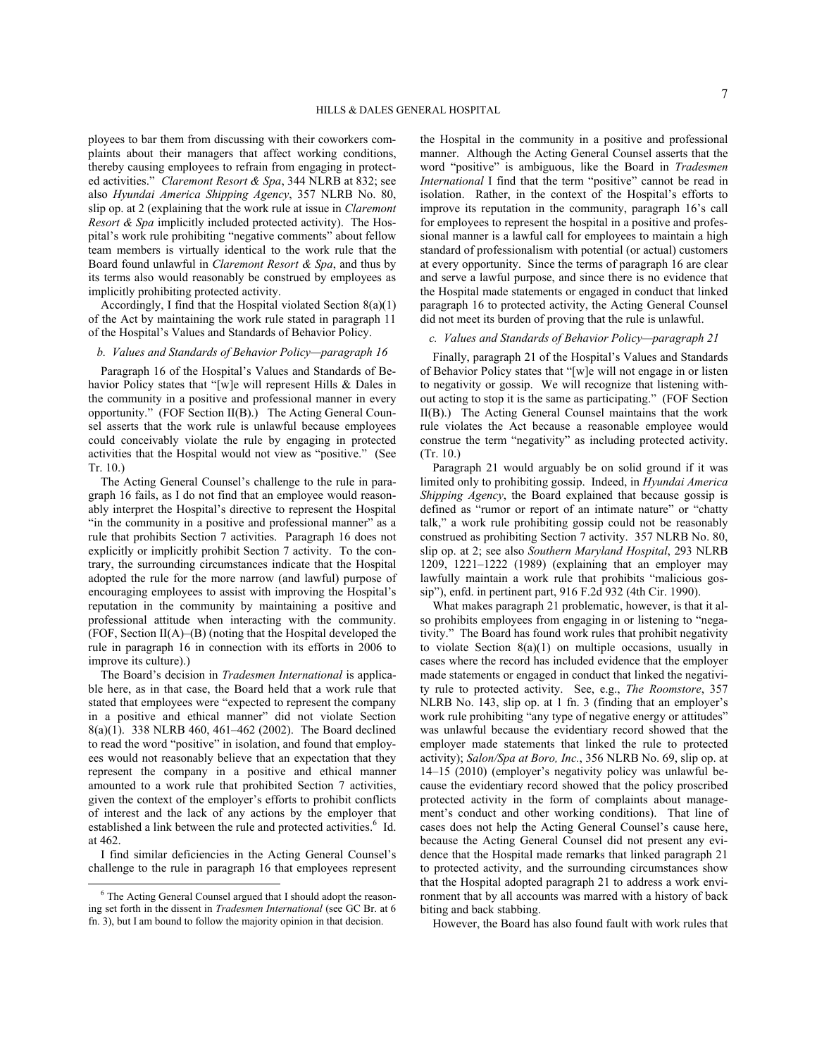ployees to bar them from discussing with their coworkers complaints about their managers that affect working conditions, thereby causing employees to refrain from engaging in protected activities." *Claremont Resort & Spa*, 344 NLRB at 832; see also *Hyundai America Shipping Agency*, 357 NLRB No. 80, slip op. at 2 (explaining that the work rule at issue in *Claremont Resort & Spa* implicitly included protected activity). The Hospital's work rule prohibiting "negative comments" about fellow team members is virtually identical to the work rule that the Board found unlawful in *Claremont Resort & Spa*, and thus by its terms also would reasonably be construed by employees as implicitly prohibiting protected activity.

Accordingly, I find that the Hospital violated Section 8(a)(1) of the Act by maintaining the work rule stated in paragraph 11 of the Hospital's Values and Standards of Behavior Policy.

## *b. Values and Standards of Behavior Policy—paragraph 16*

Paragraph 16 of the Hospital's Values and Standards of Behavior Policy states that "[w]e will represent Hills & Dales in the community in a positive and professional manner in every opportunity." (FOF Section II(B).) The Acting General Counsel asserts that the work rule is unlawful because employees could conceivably violate the rule by engaging in protected activities that the Hospital would not view as "positive." (See Tr. 10.)

The Acting General Counsel's challenge to the rule in paragraph 16 fails, as I do not find that an employee would reasonably interpret the Hospital's directive to represent the Hospital "in the community in a positive and professional manner" as a rule that prohibits Section 7 activities. Paragraph 16 does not explicitly or implicitly prohibit Section 7 activity. To the contrary, the surrounding circumstances indicate that the Hospital adopted the rule for the more narrow (and lawful) purpose of encouraging employees to assist with improving the Hospital's reputation in the community by maintaining a positive and professional attitude when interacting with the community. (FOF, Section  $II(A)$ – $(B)$ ) (noting that the Hospital developed the rule in paragraph 16 in connection with its efforts in 2006 to improve its culture).)

The Board's decision in *Tradesmen International* is applicable here, as in that case, the Board held that a work rule that stated that employees were "expected to represent the company in a positive and ethical manner" did not violate Section 8(a)(1). 338 NLRB 460, 461–462 (2002). The Board declined to read the word "positive" in isolation, and found that employees would not reasonably believe that an expectation that they represent the company in a positive and ethical manner amounted to a work rule that prohibited Section 7 activities, given the context of the employer's efforts to prohibit conflicts of interest and the lack of any actions by the employer that established a link between the rule and protected activities.<sup>[6](#page-6-0)</sup> Id. at 462.

I find similar deficiencies in the Acting General Counsel's challenge to the rule in paragraph 16 that employees represent

 $\overline{a}$ 

the Hospital in the community in a positive and professional manner. Although the Acting General Counsel asserts that the word "positive" is ambiguous, like the Board in *Tradesmen International* I find that the term "positive" cannot be read in isolation. Rather, in the context of the Hospital's efforts to improve its reputation in the community, paragraph 16's call for employees to represent the hospital in a positive and professional manner is a lawful call for employees to maintain a high standard of professionalism with potential (or actual) customers at every opportunity. Since the terms of paragraph 16 are clear and serve a lawful purpose, and since there is no evidence that the Hospital made statements or engaged in conduct that linked paragraph 16 to protected activity, the Acting General Counsel did not meet its burden of proving that the rule is unlawful.

# *c. Values and Standards of Behavior Policy—paragraph 21*

Finally, paragraph 21 of the Hospital's Values and Standards of Behavior Policy states that "[w]e will not engage in or listen to negativity or gossip. We will recognize that listening without acting to stop it is the same as participating." (FOF Section II(B).) The Acting General Counsel maintains that the work rule violates the Act because a reasonable employee would construe the term "negativity" as including protected activity. (Tr. 10.)

Paragraph 21 would arguably be on solid ground if it was limited only to prohibiting gossip. Indeed, in *Hyundai America Shipping Agency*, the Board explained that because gossip is defined as "rumor or report of an intimate nature" or "chatty talk," a work rule prohibiting gossip could not be reasonably construed as prohibiting Section 7 activity. 357 NLRB No. 80, slip op. at 2; see also *Southern Maryland Hospital*, 293 NLRB 1209, 1221–1222 (1989) (explaining that an employer may lawfully maintain a work rule that prohibits "malicious gossip"), enfd. in pertinent part, 916 F.2d 932 (4th Cir. 1990).

What makes paragraph 21 problematic, however, is that it also prohibits employees from engaging in or listening to "negativity." The Board has found work rules that prohibit negativity to violate Section 8(a)(1) on multiple occasions, usually in cases where the record has included evidence that the employer made statements or engaged in conduct that linked the negativity rule to protected activity. See, e.g., *The Roomstore*, 357 NLRB No. 143, slip op. at 1 fn. 3 (finding that an employer's work rule prohibiting "any type of negative energy or attitudes" was unlawful because the evidentiary record showed that the employer made statements that linked the rule to protected activity); *Salon/Spa at Boro, Inc.*, 356 NLRB No. 69, slip op. at 14–15 (2010) (employer's negativity policy was unlawful because the evidentiary record showed that the policy proscribed protected activity in the form of complaints about management's conduct and other working conditions). That line of cases does not help the Acting General Counsel's cause here, because the Acting General Counsel did not present any evidence that the Hospital made remarks that linked paragraph 21 to protected activity, and the surrounding circumstances show that the Hospital adopted paragraph 21 to address a work environment that by all accounts was marred with a history of back biting and back stabbing.

However, the Board has also found fault with work rules that

<span id="page-6-0"></span><sup>&</sup>lt;sup>6</sup> The Acting General Counsel argued that I should adopt the reasoning set forth in the dissent in *Tradesmen International* (see GC Br. at 6 fn. 3), but I am bound to follow the majority opinion in that decision.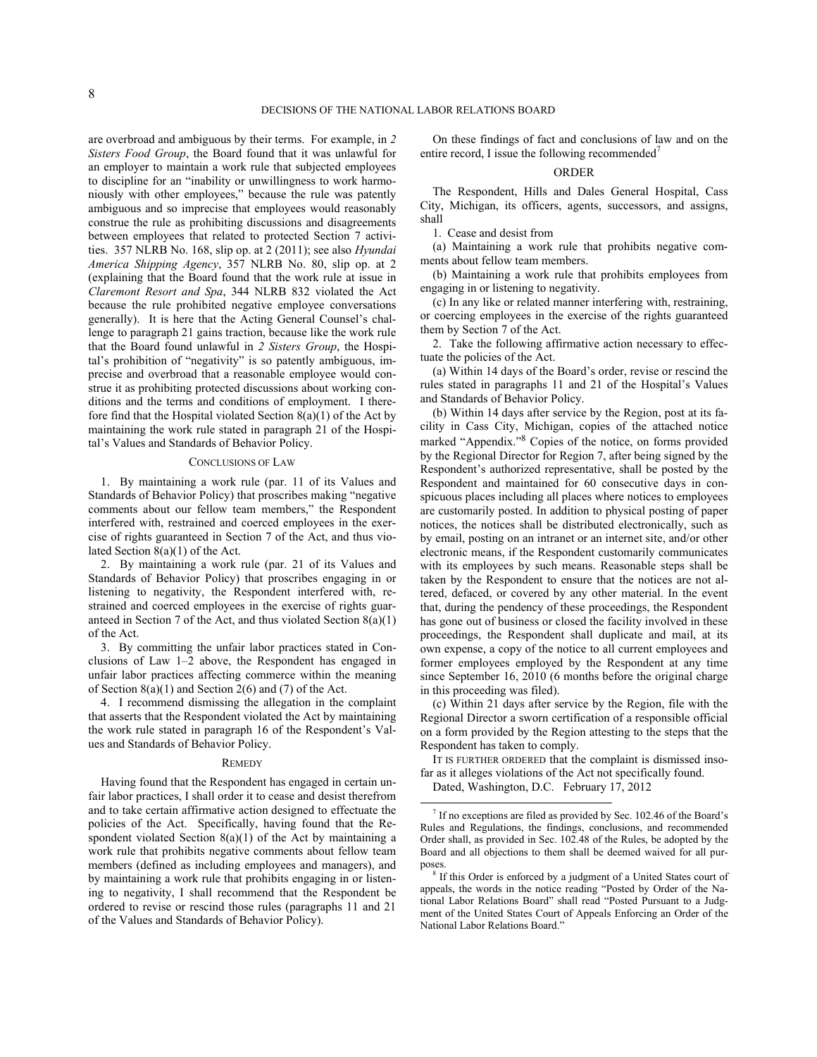are overbroad and ambiguous by their terms. For example, in *2 Sisters Food Group*, the Board found that it was unlawful for an employer to maintain a work rule that subjected employees to discipline for an "inability or unwillingness to work harmoniously with other employees," because the rule was patently ambiguous and so imprecise that employees would reasonably construe the rule as prohibiting discussions and disagreements between employees that related to protected Section 7 activities. 357 NLRB No. 168, slip op. at 2 (2011); see also *Hyundai America Shipping Agency*, 357 NLRB No. 80, slip op. at 2 (explaining that the Board found that the work rule at issue in *Claremont Resort and Spa*, 344 NLRB 832 violated the Act because the rule prohibited negative employee conversations generally). It is here that the Acting General Counsel's challenge to paragraph 21 gains traction, because like the work rule that the Board found unlawful in *2 Sisters Group*, the Hospital's prohibition of "negativity" is so patently ambiguous, imprecise and overbroad that a reasonable employee would construe it as prohibiting protected discussions about working conditions and the terms and conditions of employment. I therefore find that the Hospital violated Section 8(a)(1) of the Act by maintaining the work rule stated in paragraph 21 of the Hospital's Values and Standards of Behavior Policy.

# CONCLUSIONS OF LAW

1. By maintaining a work rule (par. 11 of its Values and Standards of Behavior Policy) that proscribes making "negative comments about our fellow team members," the Respondent interfered with, restrained and coerced employees in the exercise of rights guaranteed in Section 7 of the Act, and thus violated Section 8(a)(1) of the Act.

2. By maintaining a work rule (par. 21 of its Values and Standards of Behavior Policy) that proscribes engaging in or listening to negativity, the Respondent interfered with, restrained and coerced employees in the exercise of rights guaranteed in Section 7 of the Act, and thus violated Section  $8(a)(1)$ of the Act.

3. By committing the unfair labor practices stated in Conclusions of Law 1–2 above, the Respondent has engaged in unfair labor practices affecting commerce within the meaning of Section  $8(a)(1)$  and Section 2(6) and (7) of the Act.

4. I recommend dismissing the allegation in the complaint that asserts that the Respondent violated the Act by maintaining the work rule stated in paragraph 16 of the Respondent's Values and Standards of Behavior Policy.

### **REMEDY**

<span id="page-7-1"></span><span id="page-7-0"></span>Having found that the Respondent has engaged in certain unfair labor practices, I shall order it to cease and desist therefrom and to take certain affirmative action designed to effectuate the policies of the Act. Specifically, having found that the Respondent violated Section  $8(a)(1)$  of the Act by maintaining a work rule that prohibits negative comments about fellow team members (defined as including employees and managers), and by maintaining a work rule that prohibits engaging in or listening to negativity, I shall recommend that the Respondent be ordered to revise or rescind those rules (paragraphs 11 and 21 of the Values and Standards of Behavior Policy).

On these findings of fact and conclusions of law and on the entire record, I issue the following recommended<sup>[7](#page-7-0)</sup>

#### ORDER

The Respondent, Hills and Dales General Hospital, Cass City, Michigan, its officers, agents, successors, and assigns, shall

1. Cease and desist from

(a) Maintaining a work rule that prohibits negative comments about fellow team members.

(b) Maintaining a work rule that prohibits employees from engaging in or listening to negativity.

(c) In any like or related manner interfering with, restraining, or coercing employees in the exercise of the rights guaranteed them by Section 7 of the Act.

2. Take the following affirmative action necessary to effectuate the policies of the Act.

(a) Within 14 days of the Board's order, revise or rescind the rules stated in paragraphs 11 and 21 of the Hospital's Values and Standards of Behavior Policy.

(b) Within 14 days after service by the Region, post at its facility in Cass City, Michigan, copies of the attached notice marked "Appendix."[8](#page-7-1) Copies of the notice, on forms provided by the Regional Director for Region 7, after being signed by the Respondent's authorized representative, shall be posted by the Respondent and maintained for 60 consecutive days in conspicuous places including all places where notices to employees are customarily posted. In addition to physical posting of paper notices, the notices shall be distributed electronically, such as by email, posting on an intranet or an internet site, and/or other electronic means, if the Respondent customarily communicates with its employees by such means. Reasonable steps shall be taken by the Respondent to ensure that the notices are not altered, defaced, or covered by any other material. In the event that, during the pendency of these proceedings, the Respondent has gone out of business or closed the facility involved in these proceedings, the Respondent shall duplicate and mail, at its own expense, a copy of the notice to all current employees and former employees employed by the Respondent at any time since September 16, 2010 (6 months before the original charge in this proceeding was filed).

(c) Within 21 days after service by the Region, file with the Regional Director a sworn certification of a responsible official on a form provided by the Region attesting to the steps that the Respondent has taken to comply.

IT IS FURTHER ORDERED that the complaint is dismissed insofar as it alleges violations of the Act not specifically found.

Dated, Washington, D.C. February 17, 2012

 $\overline{a}$ 

<sup>7</sup> If no exceptions are filed as provided by Sec. 102.46 of the Board's Rules and Regulations, the findings, conclusions, and recommended Order shall, as provided in Sec. 102.48 of the Rules, be adopted by the Board and all objections to them shall be deemed waived for all purposes.

<sup>&</sup>lt;sup>8</sup> If this Order is enforced by a judgment of a United States court of appeals, the words in the notice reading "Posted by Order of the National Labor Relations Board" shall read "Posted Pursuant to a Judgment of the United States Court of Appeals Enforcing an Order of the National Labor Relations Board."